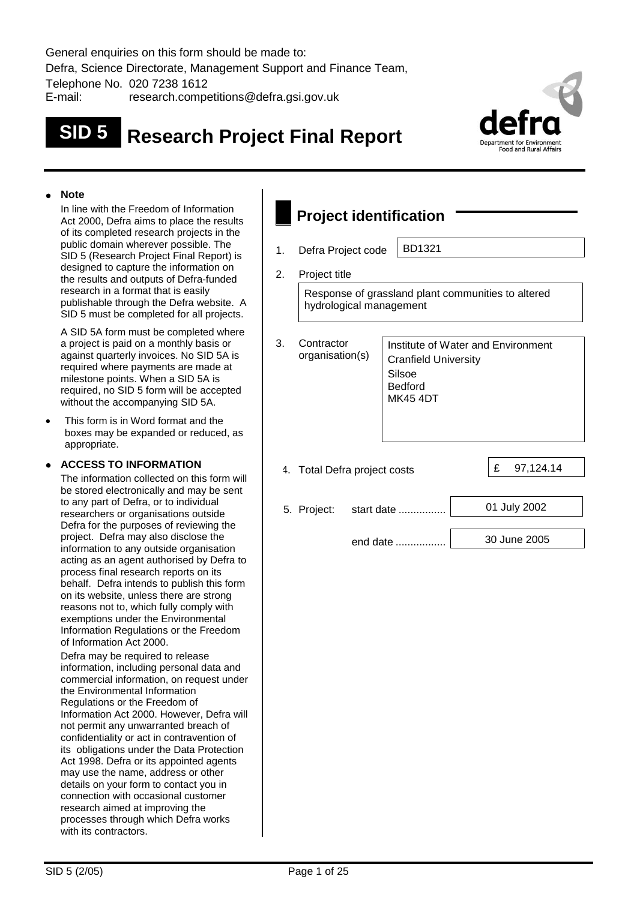General enquiries on this form should be made to: Defra, Science Directorate, Management Support and Finance Team, Telephone No. 020 7238 1612 E-mail: research.competitions@defra.gsi.gov.uk

# **SID 5 Research Project Final Report**



#### **Note**

In line with the Freedom of Information Act 2000, Defra aims to place the results of its completed research projects in the public domain wherever possible. The SID 5 (Research Project Final Report) is designed to capture the information on the results and outputs of Defra-funded research in a format that is easily publishable through the Defra website. A SID 5 must be completed for all projects.

A SID 5A form must be completed where a project is paid on a monthly basis or against quarterly invoices. No SID 5A is required where payments are made at milestone points. When a SID 5A is required, no SID 5 form will be accepted without the accompanying SID 5A.

 This form is in Word format and the boxes may be expanded or reduced, as appropriate.

# **ACCESS TO INFORMATION**

The information collected on this form will be stored electronically and may be sent to any part of Defra, or to individual researchers or organisations outside Defra for the purposes of reviewing the project. Defra may also disclose the information to any outside organisation acting as an agent authorised by Defra to process final research reports on its behalf. Defra intends to publish this form on its website, unless there are strong reasons not to, which fully comply with exemptions under the Environmental Information Regulations or the Freedom of Information Act 2000.

Defra may be required to release information, including personal data and commercial information, on request under the Environmental Information Regulations or the Freedom of Information Act 2000. However, Defra will not permit any unwarranted breach of confidentiality or act in contravention of its obligations under the Data Protection Act 1998. Defra or its appointed agents may use the name, address or other details on your form to contact you in connection with occasional customer research aimed at improving the processes through which Defra works with its contractors.

# **Project identification**

1. Defra Project code | BD1321

2. Project title

Response of grassland plant communities to altered hydrological management

| 3. | Contractor<br>organisation(s) | Institute of Water and Environment<br><b>Cranfield University</b><br>Silsoe<br><b>Bedford</b><br><b>MK45 4DT</b> |   |              |
|----|-------------------------------|------------------------------------------------------------------------------------------------------------------|---|--------------|
|    | 4. Total Defra project costs  |                                                                                                                  | £ | 97,124.14    |
|    | 5. Project:                   | start date                                                                                                       |   | 01 July 2002 |
|    |                               | end date                                                                                                         |   | 30 June 2005 |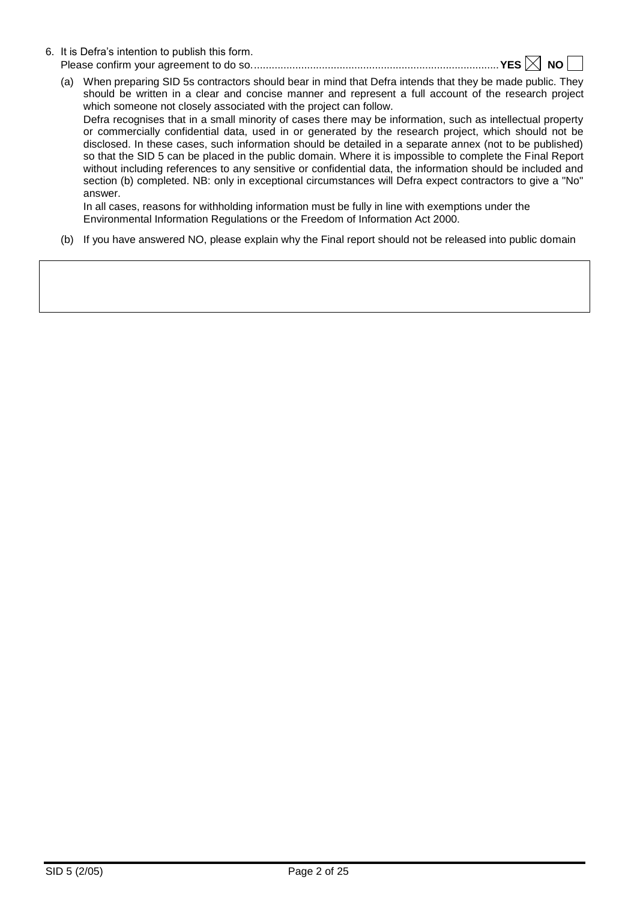- 6. It is Defra's intention to publish this form. Please confirm your agreement to do so....................................................................................**YES NO** 
	- (a) When preparing SID 5s contractors should bear in mind that Defra intends that they be made public. They should be written in a clear and concise manner and represent a full account of the research project which someone not closely associated with the project can follow. Defra recognises that in a small minority of cases there may be information, such as intellectual property or commercially confidential data, used in or generated by the research project, which should not be disclosed. In these cases, such information should be detailed in a separate annex (not to be published) so that the SID 5 can be placed in the public domain. Where it is impossible to complete the Final Report without including references to any sensitive or confidential data, the information should be included and section (b) completed. NB: only in exceptional circumstances will Defra expect contractors to give a "No" answer.

In all cases, reasons for withholding information must be fully in line with exemptions under the Environmental Information Regulations or the Freedom of Information Act 2000.

(b) If you have answered NO, please explain why the Final report should not be released into public domain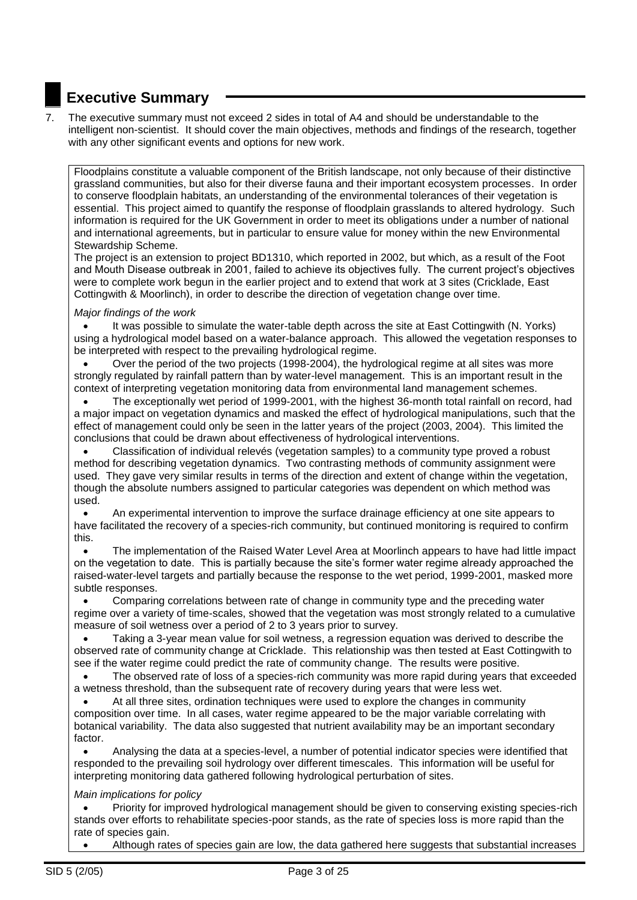# **Executive Summary**

7. The executive summary must not exceed 2 sides in total of A4 and should be understandable to the intelligent non-scientist. It should cover the main objectives, methods and findings of the research, together with any other significant events and options for new work.

Floodplains constitute a valuable component of the British landscape, not only because of their distinctive grassland communities, but also for their diverse fauna and their important ecosystem processes. In order to conserve floodplain habitats, an understanding of the environmental tolerances of their vegetation is essential. This project aimed to quantify the response of floodplain grasslands to altered hydrology. Such information is required for the UK Government in order to meet its obligations under a number of national and international agreements, but in particular to ensure value for money within the new Environmental Stewardship Scheme.

The project is an extension to project BD1310, which reported in 2002, but which, as a result of the Foot and Mouth Disease outbreak in 2001, failed to achieve its objectives fully. The current project's objectives were to complete work begun in the earlier project and to extend that work at 3 sites (Cricklade, East Cottingwith & Moorlinch), in order to describe the direction of vegetation change over time.

# *Major findings of the work*

 It was possible to simulate the water-table depth across the site at East Cottingwith (N. Yorks) using a hydrological model based on a water-balance approach. This allowed the vegetation responses to be interpreted with respect to the prevailing hydrological regime.

 Over the period of the two projects (1998-2004), the hydrological regime at all sites was more strongly regulated by rainfall pattern than by water-level management. This is an important result in the context of interpreting vegetation monitoring data from environmental land management schemes.

 The exceptionally wet period of 1999-2001, with the highest 36-month total rainfall on record, had a major impact on vegetation dynamics and masked the effect of hydrological manipulations, such that the effect of management could only be seen in the latter years of the project (2003, 2004). This limited the conclusions that could be drawn about effectiveness of hydrological interventions.

 Classification of individual relevés (vegetation samples) to a community type proved a robust method for describing vegetation dynamics. Two contrasting methods of community assignment were used. They gave very similar results in terms of the direction and extent of change within the vegetation, though the absolute numbers assigned to particular categories was dependent on which method was used.

 An experimental intervention to improve the surface drainage efficiency at one site appears to have facilitated the recovery of a species-rich community, but continued monitoring is required to confirm this.

 The implementation of the Raised Water Level Area at Moorlinch appears to have had little impact on the vegetation to date. This is partially because the site's former water regime already approached the raised-water-level targets and partially because the response to the wet period, 1999-2001, masked more subtle responses.

 Comparing correlations between rate of change in community type and the preceding water regime over a variety of time-scales, showed that the vegetation was most strongly related to a cumulative measure of soil wetness over a period of 2 to 3 years prior to survey.

 Taking a 3-year mean value for soil wetness, a regression equation was derived to describe the observed rate of community change at Cricklade. This relationship was then tested at East Cottingwith to see if the water regime could predict the rate of community change. The results were positive.

 The observed rate of loss of a species-rich community was more rapid during years that exceeded a wetness threshold, than the subsequent rate of recovery during years that were less wet.

 At all three sites, ordination techniques were used to explore the changes in community composition over time. In all cases, water regime appeared to be the major variable correlating with botanical variability. The data also suggested that nutrient availability may be an important secondary factor.

 Analysing the data at a species-level, a number of potential indicator species were identified that responded to the prevailing soil hydrology over different timescales. This information will be useful for interpreting monitoring data gathered following hydrological perturbation of sites.

# *Main implications for policy*

 Priority for improved hydrological management should be given to conserving existing species-rich stands over efforts to rehabilitate species-poor stands, as the rate of species loss is more rapid than the rate of species gain.

Although rates of species gain are low, the data gathered here suggests that substantial increases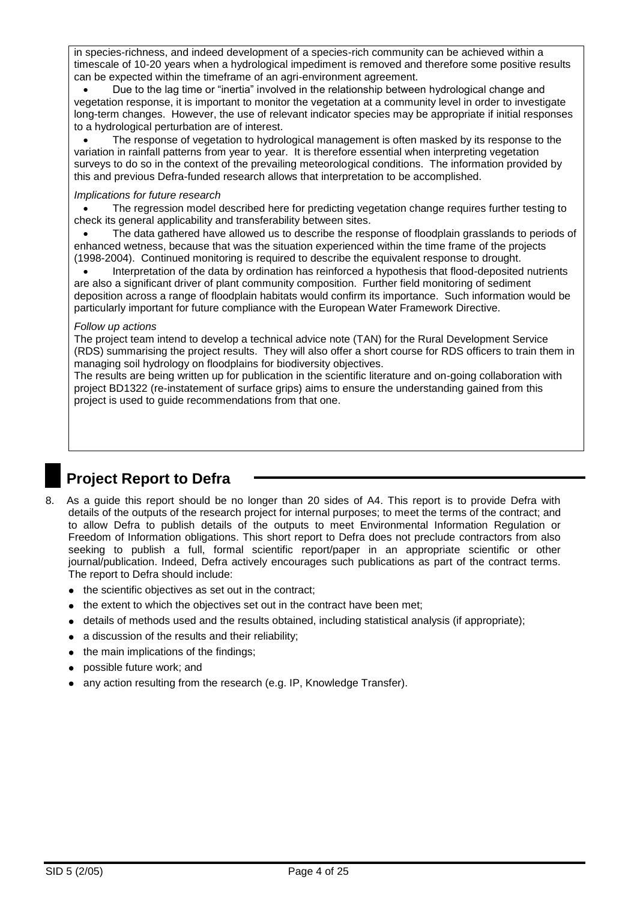in species-richness, and indeed development of a species-rich community can be achieved within a timescale of 10-20 years when a hydrological impediment is removed and therefore some positive results can be expected within the timeframe of an agri-environment agreement.

 Due to the lag time or "inertia" involved in the relationship between hydrological change and vegetation response, it is important to monitor the vegetation at a community level in order to investigate long-term changes. However, the use of relevant indicator species may be appropriate if initial responses to a hydrological perturbation are of interest.

 The response of vegetation to hydrological management is often masked by its response to the variation in rainfall patterns from year to year. It is therefore essential when interpreting vegetation surveys to do so in the context of the prevailing meteorological conditions. The information provided by this and previous Defra-funded research allows that interpretation to be accomplished.

# *Implications for future research*

 The regression model described here for predicting vegetation change requires further testing to check its general applicability and transferability between sites.

 The data gathered have allowed us to describe the response of floodplain grasslands to periods of enhanced wetness, because that was the situation experienced within the time frame of the projects (1998-2004). Continued monitoring is required to describe the equivalent response to drought.

 Interpretation of the data by ordination has reinforced a hypothesis that flood-deposited nutrients are also a significant driver of plant community composition. Further field monitoring of sediment deposition across a range of floodplain habitats would confirm its importance. Such information would be particularly important for future compliance with the European Water Framework Directive.

# *Follow up actions*

The project team intend to develop a technical advice note (TAN) for the Rural Development Service (RDS) summarising the project results. They will also offer a short course for RDS officers to train them in managing soil hydrology on floodplains for biodiversity objectives.

The results are being written up for publication in the scientific literature and on-going collaboration with project BD1322 (re-instatement of surface grips) aims to ensure the understanding gained from this project is used to guide recommendations from that one.

# **Project Report to Defra**

- 8. As a guide this report should be no longer than 20 sides of A4. This report is to provide Defra with details of the outputs of the research project for internal purposes; to meet the terms of the contract; and to allow Defra to publish details of the outputs to meet Environmental Information Regulation or Freedom of Information obligations. This short report to Defra does not preclude contractors from also seeking to publish a full, formal scientific report/paper in an appropriate scientific or other journal/publication. Indeed, Defra actively encourages such publications as part of the contract terms. The report to Defra should include:
	- the scientific objectives as set out in the contract;
	- the extent to which the objectives set out in the contract have been met;
	- $\bullet$  details of methods used and the results obtained, including statistical analysis (if appropriate);
	- a discussion of the results and their reliability;
	- $\bullet$  the main implications of the findings;
	- possible future work; and
	- any action resulting from the research (e.g. IP, Knowledge Transfer).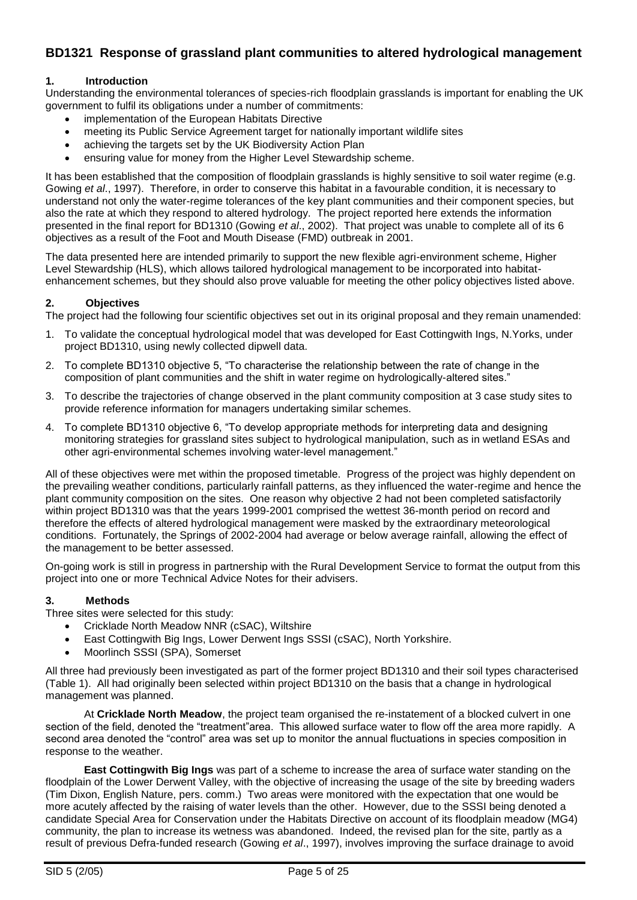# **BD1321 Response of grassland plant communities to altered hydrological management**

# **1. Introduction**

Understanding the environmental tolerances of species-rich floodplain grasslands is important for enabling the UK government to fulfil its obligations under a number of commitments:

- implementation of the European Habitats Directive
- meeting its Public Service Agreement target for nationally important wildlife sites
- achieving the targets set by the UK Biodiversity Action Plan
- ensuring value for money from the Higher Level Stewardship scheme.

It has been established that the composition of floodplain grasslands is highly sensitive to soil water regime (e.g. Gowing *et al*., 1997). Therefore, in order to conserve this habitat in a favourable condition, it is necessary to understand not only the water-regime tolerances of the key plant communities and their component species, but also the rate at which they respond to altered hydrology. The project reported here extends the information presented in the final report for BD1310 (Gowing *et al*., 2002). That project was unable to complete all of its 6 objectives as a result of the Foot and Mouth Disease (FMD) outbreak in 2001.

The data presented here are intended primarily to support the new flexible agri-environment scheme, Higher Level Stewardship (HLS), which allows tailored hydrological management to be incorporated into habitatenhancement schemes, but they should also prove valuable for meeting the other policy objectives listed above.

# **2. Objectives**

The project had the following four scientific objectives set out in its original proposal and they remain unamended:

- 1. To validate the conceptual hydrological model that was developed for East Cottingwith Ings, N.Yorks, under project BD1310, using newly collected dipwell data.
- 2. To complete BD1310 objective 5, "To characterise the relationship between the rate of change in the composition of plant communities and the shift in water regime on hydrologically-altered sites."
- 3. To describe the trajectories of change observed in the plant community composition at 3 case study sites to provide reference information for managers undertaking similar schemes.
- 4. To complete BD1310 objective 6, "To develop appropriate methods for interpreting data and designing monitoring strategies for grassland sites subject to hydrological manipulation, such as in wetland ESAs and other agri-environmental schemes involving water-level management."

All of these objectives were met within the proposed timetable. Progress of the project was highly dependent on the prevailing weather conditions, particularly rainfall patterns, as they influenced the water-regime and hence the plant community composition on the sites. One reason why objective 2 had not been completed satisfactorily within project BD1310 was that the years 1999-2001 comprised the wettest 36-month period on record and therefore the effects of altered hydrological management were masked by the extraordinary meteorological conditions. Fortunately, the Springs of 2002-2004 had average or below average rainfall, allowing the effect of the management to be better assessed.

On-going work is still in progress in partnership with the Rural Development Service to format the output from this project into one or more Technical Advice Notes for their advisers.

# **3. Methods**

Three sites were selected for this study:

- Cricklade North Meadow NNR (cSAC), Wiltshire
- East Cottingwith Big Ings, Lower Derwent Ings SSSI (cSAC), North Yorkshire.
- Moorlinch SSSI (SPA), Somerset

All three had previously been investigated as part of the former project BD1310 and their soil types characterised (Table 1). All had originally been selected within project BD1310 on the basis that a change in hydrological management was planned.

At **Cricklade North Meadow**, the project team organised the re-instatement of a blocked culvert in one section of the field, denoted the "treatment"area. This allowed surface water to flow off the area more rapidly. A second area denoted the "control" area was set up to monitor the annual fluctuations in species composition in response to the weather.

**East Cottingwith Big Ings** was part of a scheme to increase the area of surface water standing on the floodplain of the Lower Derwent Valley, with the objective of increasing the usage of the site by breeding waders (Tim Dixon, English Nature, pers. comm.) Two areas were monitored with the expectation that one would be more acutely affected by the raising of water levels than the other. However, due to the SSSI being denoted a candidate Special Area for Conservation under the Habitats Directive on account of its floodplain meadow (MG4) community, the plan to increase its wetness was abandoned. Indeed, the revised plan for the site, partly as a result of previous Defra-funded research (Gowing *et al*., 1997), involves improving the surface drainage to avoid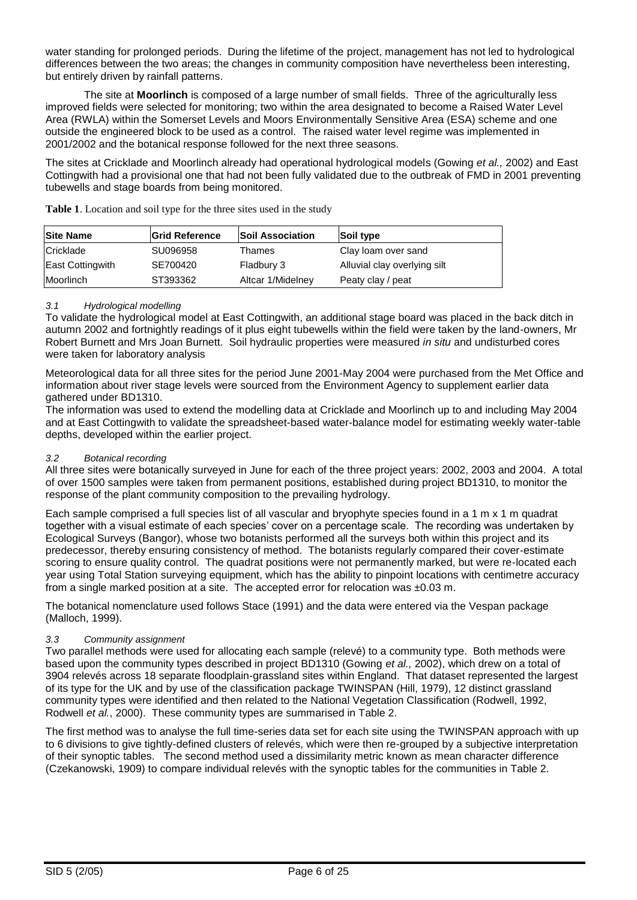water standing for prolonged periods. During the lifetime of the project, management has not led to hydrological differences between the two areas; the changes in community composition have nevertheless been interesting, but entirely driven by rainfall patterns.

The site at **Moorlinch** is composed of a large number of small fields. Three of the agriculturally less improved fields were selected for monitoring; two within the area designated to become a Raised Water Level Area (RWLA) within the Somerset Levels and Moors Environmentally Sensitive Area (ESA) scheme and one outside the engineered block to be used as a control. The raised water level regime was implemented in 2001/2002 and the botanical response followed for the next three seasons.

The sites at Cricklade and Moorlinch already had operational hydrological models (Gowing *et al.,* 2002) and East Cottingwith had a provisional one that had not been fully validated due to the outbreak of FMD in 2001 preventing tubewells and stage boards from being monitored.

| <b>Site Name</b> | <b>Grid Reference</b> | <b>Soil Association</b> | Soil type                    |
|------------------|-----------------------|-------------------------|------------------------------|
| Cricklade        | SU096958              | Thames                  | Clay loam over sand          |
| East Cottingwith | SE700420              | Fladbury 3              | Alluvial clay overlying silt |
| <b>Moorlinch</b> | ST393362              | Altcar 1/Midelney       | Peaty clay / peat            |

**Table 1**. Location and soil type for the three sites used in the study

# *3.1 Hydrological modelling*

To validate the hydrological model at East Cottingwith, an additional stage board was placed in the back ditch in autumn 2002 and fortnightly readings of it plus eight tubewells within the field were taken by the land-owners, Mr Robert Burnett and Mrs Joan Burnett. Soil hydraulic properties were measured *in situ* and undisturbed cores were taken for laboratory analysis

Meteorological data for all three sites for the period June 2001-May 2004 were purchased from the Met Office and information about river stage levels were sourced from the Environment Agency to supplement earlier data gathered under BD1310.

The information was used to extend the modelling data at Cricklade and Moorlinch up to and including May 2004 and at East Cottingwith to validate the spreadsheet-based water-balance model for estimating weekly water-table depths, developed within the earlier project.

# *3.2 Botanical recording*

All three sites were botanically surveyed in June for each of the three project years: 2002, 2003 and 2004. A total of over 1500 samples were taken from permanent positions, established during project BD1310, to monitor the response of the plant community composition to the prevailing hydrology.

Each sample comprised a full species list of all vascular and bryophyte species found in a 1 m x 1 m quadrat together with a visual estimate of each species' cover on a percentage scale. The recording was undertaken by Ecological Surveys (Bangor), whose two botanists performed all the surveys both within this project and its predecessor, thereby ensuring consistency of method. The botanists regularly compared their cover-estimate scoring to ensure quality control. The quadrat positions were not permanently marked, but were re-located each year using Total Station surveying equipment, which has the ability to pinpoint locations with centimetre accuracy from a single marked position at a site. The accepted error for relocation was  $\pm 0.03$  m.

The botanical nomenclature used follows Stace (1991) and the data were entered via the Vespan package (Malloch, 1999).

#### *3.3 Community assignment*

Two parallel methods were used for allocating each sample (relevé) to a community type. Both methods were based upon the community types described in project BD1310 (Gowing *et al.,* 2002), which drew on a total of 3904 relevés across 18 separate floodplain-grassland sites within England. That dataset represented the largest of its type for the UK and by use of the classification package TWINSPAN (Hill, 1979), 12 distinct grassland community types were identified and then related to the National Vegetation Classification (Rodwell, 1992, Rodwell *et al.*, 2000). These community types are summarised in Table 2.

The first method was to analyse the full time-series data set for each site using the TWINSPAN approach with up to 6 divisions to give tightly-defined clusters of relevés, which were then re-grouped by a subjective interpretation of their synoptic tables. The second method used a dissimilarity metric known as mean character difference (Czekanowski, 1909) to compare individual relevés with the synoptic tables for the communities in Table 2.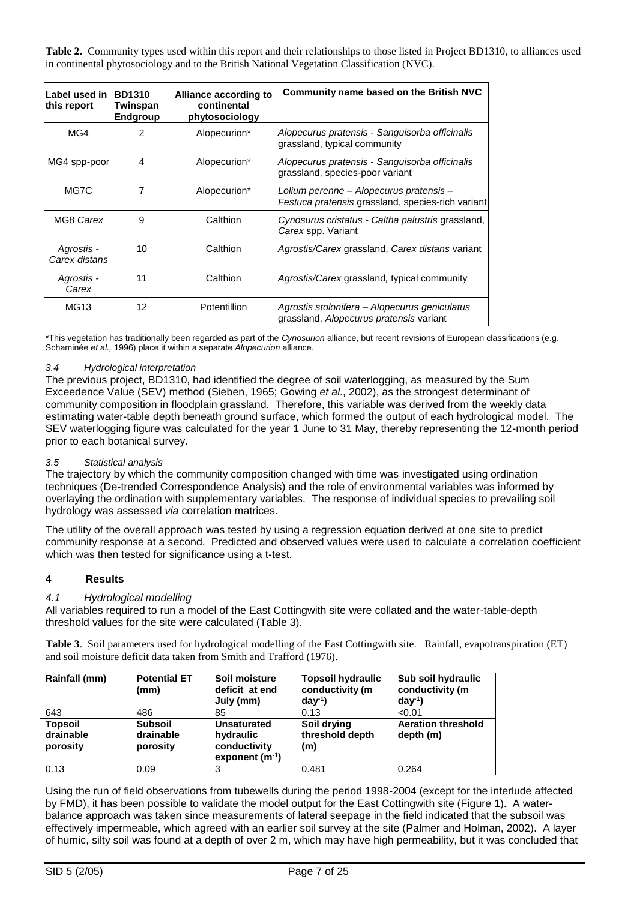**Table 2.** Community types used within this report and their relationships to those listed in Project BD1310, to alliances used in continental phytosociology and to the British National Vegetation Classification (NVC).

| Label used in<br>this report | <b>BD1310</b><br>Twinspan<br>Endgroup | Alliance according to<br>continental<br>phytosociology | Community name based on the British NVC                                                      |
|------------------------------|---------------------------------------|--------------------------------------------------------|----------------------------------------------------------------------------------------------|
| MG4                          | $\mathcal{P}$                         | Alopecurion*                                           | Alopecurus pratensis - Sanguisorba officinalis<br>grassland, typical community               |
| MG4 spp-poor                 | 4                                     | Alopecurion*                                           | Alopecurus pratensis - Sanguisorba officinalis<br>grassland, species-poor variant            |
| MG7C                         | 7                                     | Alopecurion*                                           | Lolium perenne – Alopecurus pratensis –<br>Festuca pratensis grassland, species-rich variant |
| MG8 Carex                    | 9                                     | Calthion                                               | Cynosurus cristatus - Caltha palustris grassland,<br>Carex spp. Variant                      |
| Agrostis -<br>Carex distans  | 10                                    | Calthion                                               | Agrostis/Carex grassland, Carex distans variant                                              |
| Agrostis -<br>Carex          | 11                                    | Calthion                                               | Agrostis/Carex grassland, typical community                                                  |
| <b>MG13</b>                  | 12                                    | Potentillion                                           | Agrostis stolonifera – Alopecurus geniculatus<br>grassland, Alopecurus pratensis variant     |

\*This vegetation has traditionally been regarded as part of the *Cynosurion* alliance, but recent revisions of European classifications (e.g. Schaminée *et al.,* 1996) place it within a separate *Alopecurion* alliance*.*

#### *3.4 Hydrological interpretation*

The previous project, BD1310, had identified the degree of soil waterlogging, as measured by the Sum Exceedence Value (SEV) method (Sieben, 1965; Gowing *et al*., 2002), as the strongest determinant of community composition in floodplain grassland. Therefore, this variable was derived from the weekly data estimating water-table depth beneath ground surface, which formed the output of each hydrological model. The SEV waterlogging figure was calculated for the year 1 June to 31 May, thereby representing the 12-month period prior to each botanical survey.

# *3.5 Statistical analysis*

The trajectory by which the community composition changed with time was investigated using ordination techniques (De-trended Correspondence Analysis) and the role of environmental variables was informed by overlaying the ordination with supplementary variables. The response of individual species to prevailing soil hydrology was assessed *via* correlation matrices.

The utility of the overall approach was tested by using a regression equation derived at one site to predict community response at a second. Predicted and observed values were used to calculate a correlation coefficient which was then tested for significance using a t-test.

#### **4 Results**

#### *4.1 Hydrological modelling*

All variables required to run a model of the East Cottingwith site were collated and the water-table-depth threshold values for the site were calculated (Table 3).

**Table 3**. Soil parameters used for hydrological modelling of the East Cottingwith site. Rainfall, evapotranspiration (ET) and soil moisture deficit data taken from Smith and Trafford (1976).

| Rainfall (mm)                           | <b>Potential ET</b><br>(mm)             | Soil moisture<br>deficit at end<br>July (mm)                    | <b>Topsoil hydraulic</b><br>conductivity (m<br>day <sup>1</sup> | Sub soil hydraulic<br>conductivity (m<br>$day^{-1}$ |
|-----------------------------------------|-----------------------------------------|-----------------------------------------------------------------|-----------------------------------------------------------------|-----------------------------------------------------|
| 643                                     | 486                                     | 85                                                              | 0.13                                                            | < 0.01                                              |
| <b>Topsoil</b><br>drainable<br>porosity | <b>Subsoil</b><br>drainable<br>porosity | Unsaturated<br>hydraulic<br>conductivity<br>exponent $(m^{-1})$ | Soil drying<br>threshold depth<br>(m)                           | <b>Aeration threshold</b><br>depth (m)              |
| 0.13                                    | 0.09                                    | 3                                                               | 0.481                                                           | 0.264                                               |

Using the run of field observations from tubewells during the period 1998-2004 (except for the interlude affected by FMD), it has been possible to validate the model output for the East Cottingwith site (Figure 1). A waterbalance approach was taken since measurements of lateral seepage in the field indicated that the subsoil was effectively impermeable, which agreed with an earlier soil survey at the site (Palmer and Holman, 2002). A layer of humic, silty soil was found at a depth of over 2 m, which may have high permeability, but it was concluded that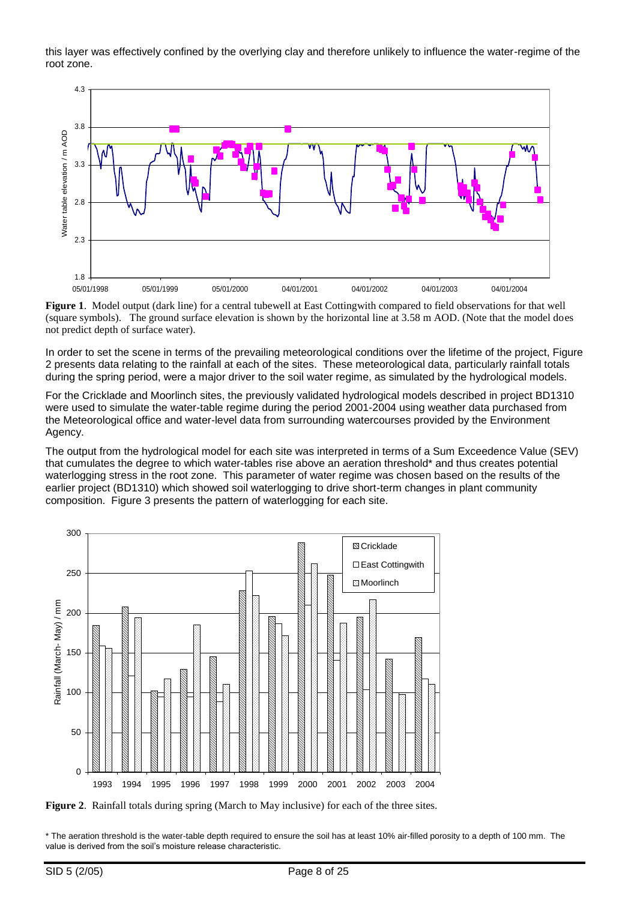this layer was effectively confined by the overlying clay and therefore unlikely to influence the water-regime of the root zone.



**Figure 1**. Model output (dark line) for a central tubewell at East Cottingwith compared to field observations for that well (square symbols). The ground surface elevation is shown by the horizontal line at 3.58 m AOD. (Note that the model does not predict depth of surface water).

In order to set the scene in terms of the prevailing meteorological conditions over the lifetime of the project, Figure 2 presents data relating to the rainfall at each of the sites. These meteorological data, particularly rainfall totals during the spring period, were a major driver to the soil water regime, as simulated by the hydrological models.

For the Cricklade and Moorlinch sites, the previously validated hydrological models described in project BD1310 were used to simulate the water-table regime during the period 2001-2004 using weather data purchased from the Meteorological office and water-level data from surrounding watercourses provided by the Environment Agency.

The output from the hydrological model for each site was interpreted in terms of a Sum Exceedence Value (SEV) that cumulates the degree to which water-tables rise above an aeration threshold\* and thus creates potential waterlogging stress in the root zone. This parameter of water regime was chosen based on the results of the earlier project (BD1310) which showed soil waterlogging to drive short-term changes in plant community composition. Figure 3 presents the pattern of waterlogging for each site.



**Figure 2**. Rainfall totals during spring (March to May inclusive) for each of the three sites.

\* The aeration threshold is the water-table depth required to ensure the soil has at least 10% air-filled porosity to a depth of 100 mm. The value is derived from the soil's moisture release characteristic.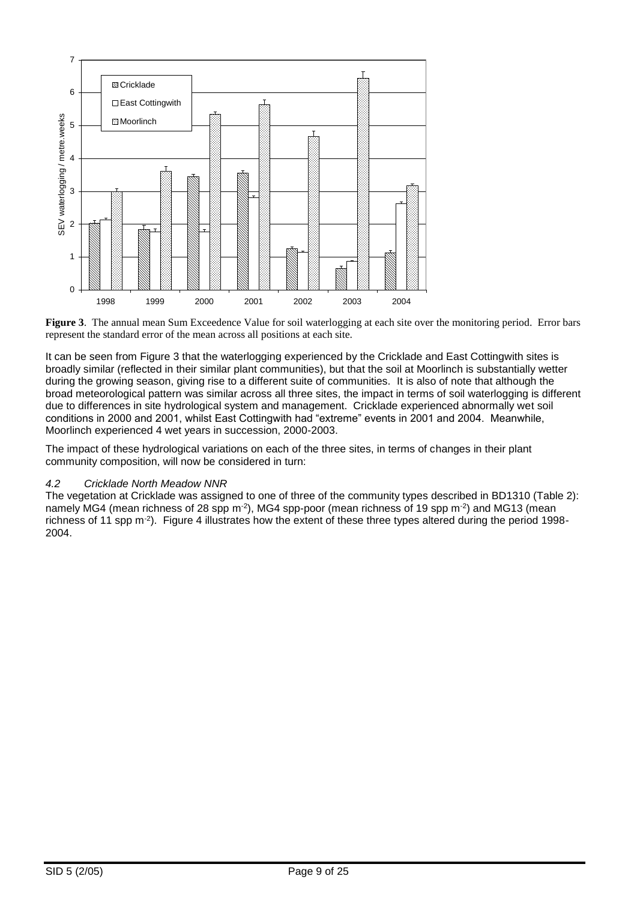

**Figure 3**. The annual mean Sum Exceedence Value for soil waterlogging at each site over the monitoring period. Error bars represent the standard error of the mean across all positions at each site.

It can be seen from Figure 3 that the waterlogging experienced by the Cricklade and East Cottingwith sites is broadly similar (reflected in their similar plant communities), but that the soil at Moorlinch is substantially wetter during the growing season, giving rise to a different suite of communities. It is also of note that although the broad meteorological pattern was similar across all three sites, the impact in terms of soil waterlogging is different due to differences in site hydrological system and management. Cricklade experienced abnormally wet soil conditions in 2000 and 2001, whilst East Cottingwith had "extreme" events in 2001 and 2004. Meanwhile, Moorlinch experienced 4 wet years in succession, 2000-2003.

The impact of these hydrological variations on each of the three sites, in terms of changes in their plant community composition, will now be considered in turn:

# *4.2 Cricklade North Meadow NNR*

The vegetation at Cricklade was assigned to one of three of the community types described in BD1310 (Table 2): namely MG4 (mean richness of 28 spp m<sup>-2</sup>), MG4 spp-poor (mean richness of 19 spp m<sup>-2</sup>) and MG13 (mean richness of 11 spp m-2 ). Figure 4 illustrates how the extent of these three types altered during the period 1998- 2004.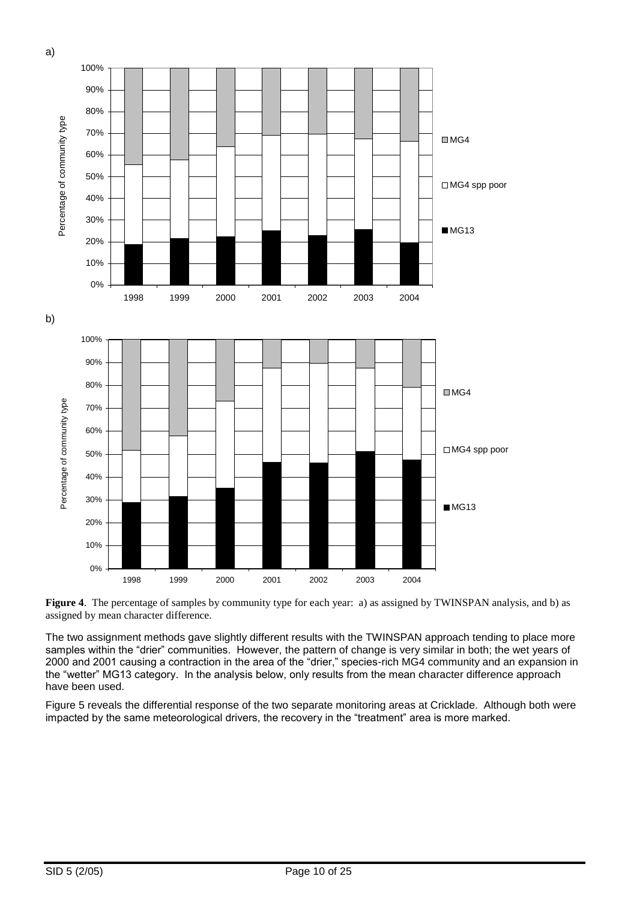

**Figure 4.** The percentage of samples by community type for each year: a) as assigned by TWINSPAN analysis, and b) as assigned by mean character difference.

The two assignment methods gave slightly different results with the TWINSPAN approach tending to place more samples within the "drier" communities. However, the pattern of change is very similar in both; the wet years of 2000 and 2001 causing a contraction in the area of the "drier," species-rich MG4 community and an expansion in the "wetter" MG13 category. In the analysis below, only results from the mean character difference approach have been used.

Figure 5 reveals the differential response of the two separate monitoring areas at Cricklade. Although both were impacted by the same meteorological drivers, the recovery in the "treatment" area is more marked.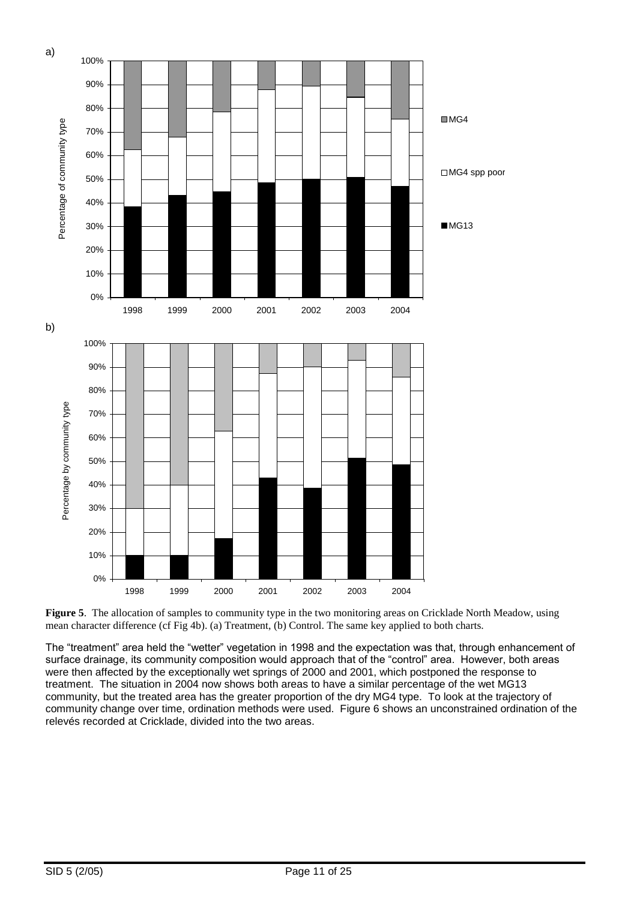

**Figure 5**. The allocation of samples to community type in the two monitoring areas on Cricklade North Meadow, using mean character difference (cf Fig 4b). (a) Treatment, (b) Control. The same key applied to both charts.

The "treatment" area held the "wetter" vegetation in 1998 and the expectation was that, through enhancement of surface drainage, its community composition would approach that of the "control" area. However, both areas were then affected by the exceptionally wet springs of 2000 and 2001, which postponed the response to treatment. The situation in 2004 now shows both areas to have a similar percentage of the wet MG13 community, but the treated area has the greater proportion of the dry MG4 type. To look at the trajectory of community change over time, ordination methods were used. Figure 6 shows an unconstrained ordination of the relevés recorded at Cricklade, divided into the two areas.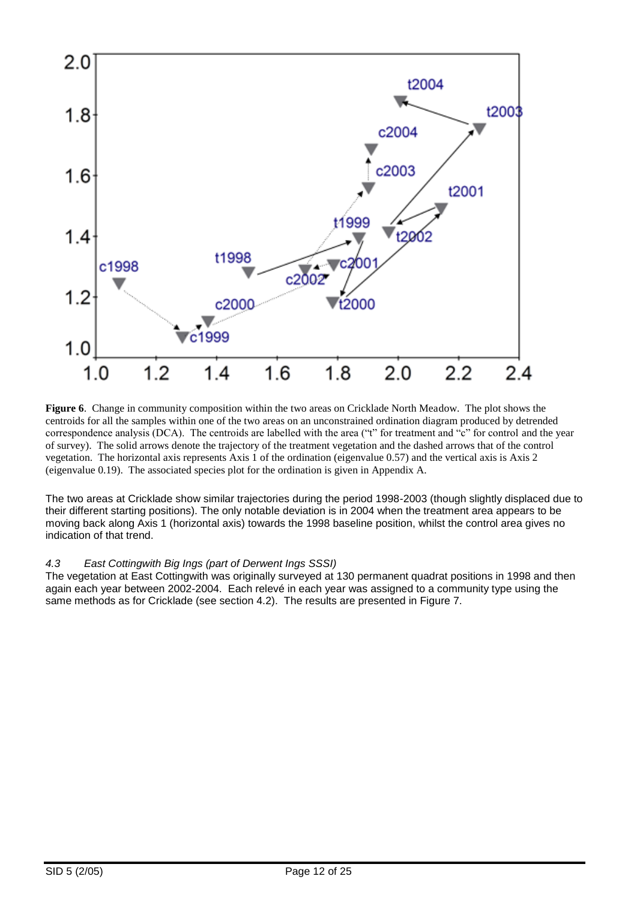

**Figure 6**. Change in community composition within the two areas on Cricklade North Meadow. The plot shows the centroids for all the samples within one of the two areas on an unconstrained ordination diagram produced by detrended correspondence analysis (DCA). The centroids are labelled with the area ("t" for treatment and "c" for control and the year of survey). The solid arrows denote the trajectory of the treatment vegetation and the dashed arrows that of the control vegetation. The horizontal axis represents Axis 1 of the ordination (eigenvalue 0.57) and the vertical axis is Axis 2 (eigenvalue 0.19). The associated species plot for the ordination is given in Appendix A.

The two areas at Cricklade show similar trajectories during the period 1998-2003 (though slightly displaced due to their different starting positions). The only notable deviation is in 2004 when the treatment area appears to be moving back along Axis 1 (horizontal axis) towards the 1998 baseline position, whilst the control area gives no indication of that trend.

# *4.3 East Cottingwith Big Ings (part of Derwent Ings SSSI)*

The vegetation at East Cottingwith was originally surveyed at 130 permanent quadrat positions in 1998 and then again each year between 2002-2004. Each relevé in each year was assigned to a community type using the same methods as for Cricklade (see section 4.2). The results are presented in Figure 7.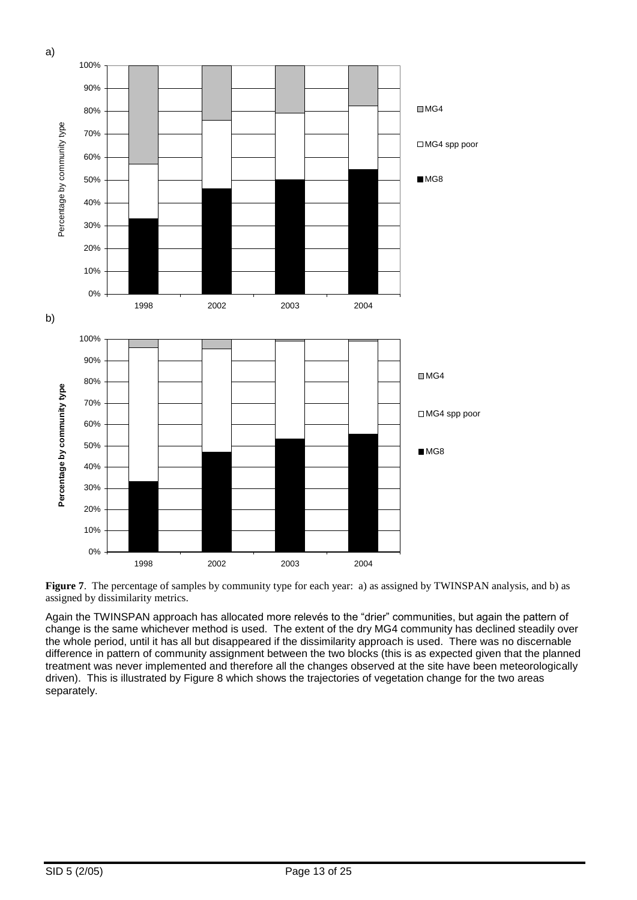



Again the TWINSPAN approach has allocated more relevés to the "drier" communities, but again the pattern of change is the same whichever method is used. The extent of the dry MG4 community has declined steadily over the whole period, until it has all but disappeared if the dissimilarity approach is used. There was no discernable difference in pattern of community assignment between the two blocks (this is as expected given that the planned treatment was never implemented and therefore all the changes observed at the site have been meteorologically driven). This is illustrated by Figure 8 which shows the trajectories of vegetation change for the two areas separately.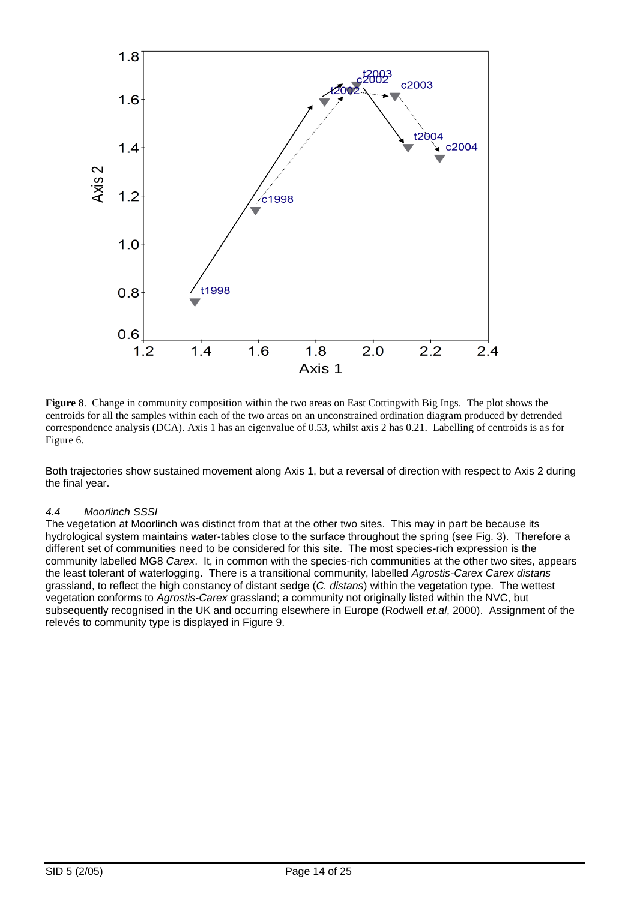

**Figure 8**. Change in community composition within the two areas on East Cottingwith Big Ings. The plot shows the centroids for all the samples within each of the two areas on an unconstrained ordination diagram produced by detrended correspondence analysis (DCA). Axis 1 has an eigenvalue of 0.53, whilst axis 2 has 0.21. Labelling of centroids is as for Figure 6.

Both trajectories show sustained movement along Axis 1, but a reversal of direction with respect to Axis 2 during the final year.

# *4.4 Moorlinch SSSI*

The vegetation at Moorlinch was distinct from that at the other two sites. This may in part be because its hydrological system maintains water-tables close to the surface throughout the spring (see Fig. 3). Therefore a different set of communities need to be considered for this site. The most species-rich expression is the community labelled MG8 *Carex*. It, in common with the species-rich communities at the other two sites, appears the least tolerant of waterlogging. There is a transitional community, labelled *Agrostis-Carex Carex distans*  grassland, to reflect the high constancy of distant sedge (*C. distans*) within the vegetation type. The wettest vegetation conforms to *Agrostis-Carex* grassland; a community not originally listed within the NVC, but subsequently recognised in the UK and occurring elsewhere in Europe (Rodwell *et.al*, 2000). Assignment of the relevés to community type is displayed in Figure 9.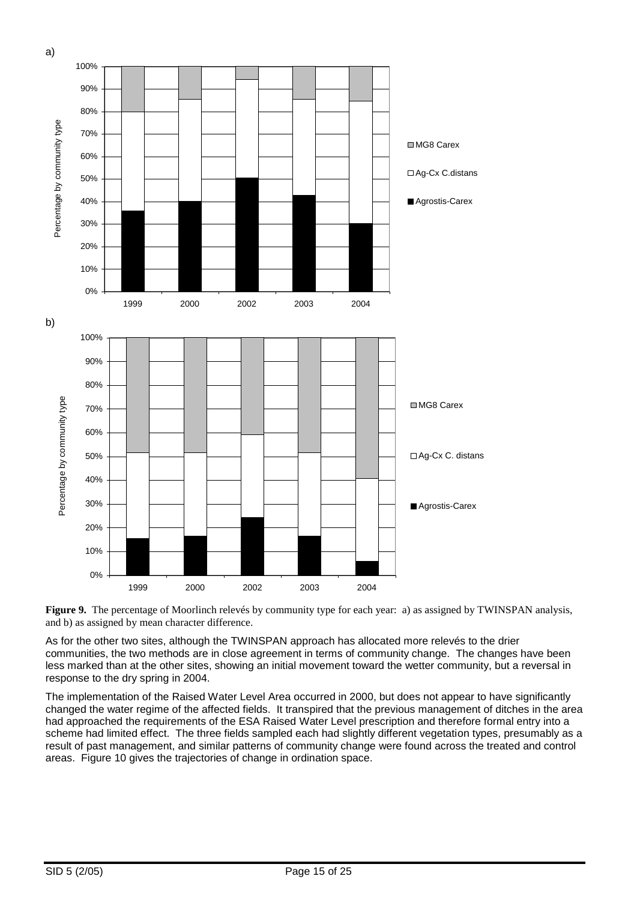



As for the other two sites, although the TWINSPAN approach has allocated more relevés to the drier communities, the two methods are in close agreement in terms of community change. The changes have been less marked than at the other sites, showing an initial movement toward the wetter community, but a reversal in response to the dry spring in 2004.

The implementation of the Raised Water Level Area occurred in 2000, but does not appear to have significantly changed the water regime of the affected fields. It transpired that the previous management of ditches in the area had approached the requirements of the ESA Raised Water Level prescription and therefore formal entry into a scheme had limited effect. The three fields sampled each had slightly different vegetation types, presumably as a result of past management, and similar patterns of community change were found across the treated and control areas. Figure 10 gives the trajectories of change in ordination space.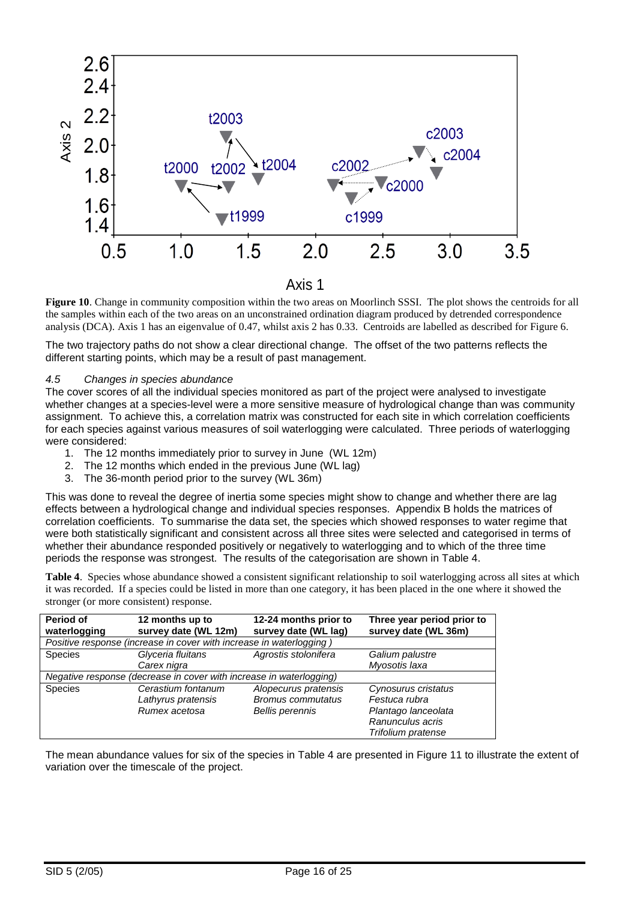

**Figure 10**. Change in community composition within the two areas on Moorlinch SSSI. The plot shows the centroids for all the samples within each of the two areas on an unconstrained ordination diagram produced by detrended correspondence analysis (DCA). Axis 1 has an eigenvalue of 0.47, whilst axis 2 has 0.33. Centroids are labelled as described for Figure 6.

The two trajectory paths do not show a clear directional change. The offset of the two patterns reflects the different starting points, which may be a result of past management.

# *4.5 Changes in species abundance*

The cover scores of all the individual species monitored as part of the project were analysed to investigate whether changes at a species-level were a more sensitive measure of hydrological change than was community assignment. To achieve this, a correlation matrix was constructed for each site in which correlation coefficients for each species against various measures of soil waterlogging were calculated. Three periods of waterlogging were considered:

- 1. The 12 months immediately prior to survey in June (WL 12m)
- 2. The 12 months which ended in the previous June (WL lag)
- 3. The 36-month period prior to the survey (WL 36m)

This was done to reveal the degree of inertia some species might show to change and whether there are lag effects between a hydrological change and individual species responses. Appendix B holds the matrices of correlation coefficients. To summarise the data set, the species which showed responses to water regime that were both statistically significant and consistent across all three sites were selected and categorised in terms of whether their abundance responded positively or negatively to waterlogging and to which of the three time periods the response was strongest. The results of the categorisation are shown in Table 4.

**Table 4**. Species whose abundance showed a consistent significant relationship to soil waterlogging across all sites at which it was recorded. If a species could be listed in more than one category, it has been placed in the one where it showed the stronger (or more consistent) response.

| Period of<br>waterlogging                                           | 12 months up to<br>survey date (WL 12m)                             | 12-24 months prior to<br>survey date (WL lag) | Three year period prior to<br>survey date (WL 36m) |  |
|---------------------------------------------------------------------|---------------------------------------------------------------------|-----------------------------------------------|----------------------------------------------------|--|
|                                                                     | Positive response (increase in cover with increase in waterlogging) |                                               |                                                    |  |
| <b>Species</b>                                                      | Glyceria fluitans                                                   | Agrostis stolonifera                          | Galium palustre                                    |  |
|                                                                     | Carex nigra                                                         |                                               | Myosotis laxa                                      |  |
| Negative response (decrease in cover with increase in waterlogging) |                                                                     |                                               |                                                    |  |
| <b>Species</b>                                                      | Cerastium fontanum                                                  | Alopecurus pratensis                          | Cynosurus cristatus                                |  |
|                                                                     | Lathyrus pratensis                                                  | <b>Bromus commutatus</b>                      | Festuca rubra                                      |  |
|                                                                     | Rumex acetosa                                                       | <b>Bellis perennis</b>                        | Plantago lanceolata                                |  |
|                                                                     |                                                                     |                                               | Ranunculus acris                                   |  |
|                                                                     |                                                                     |                                               | Trifolium pratense                                 |  |

The mean abundance values for six of the species in Table 4 are presented in Figure 11 to illustrate the extent of variation over the timescale of the project.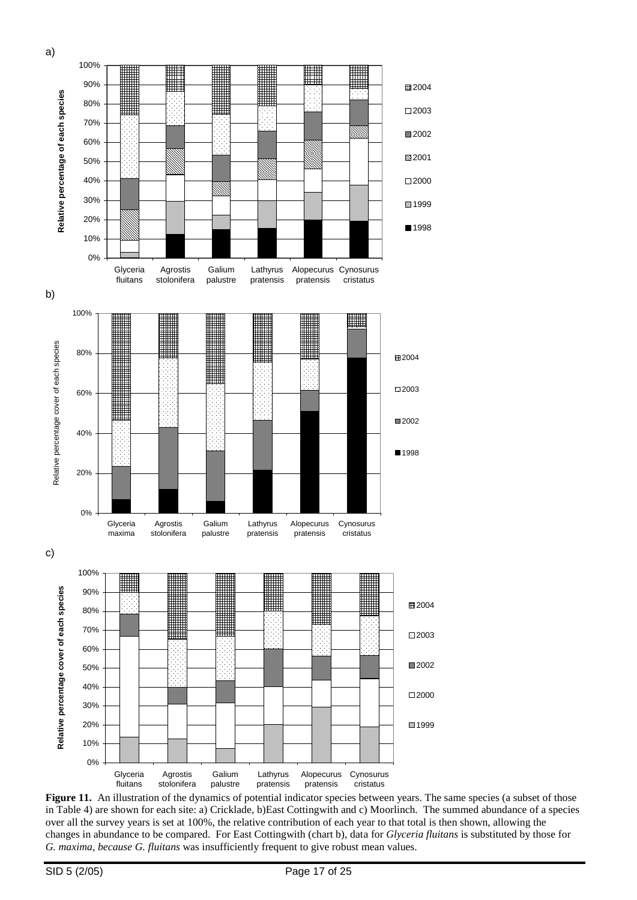

Figure 11. An illustration of the dynamics of potential indicator species between years. The same species (a subset of those in Table 4) are shown for each site: a) Cricklade, b)East Cottingwith and c) Moorlinch. The summed abundance of a species over all the survey years is set at 100%, the relative contribution of each year to that total is then shown, allowing the changes in abundance to be compared. For East Cottingwith (chart b), data for *Glyceria fluitans* is substituted by those for *G. maxima, because G. fluitans* was insufficiently frequent to give robust mean values.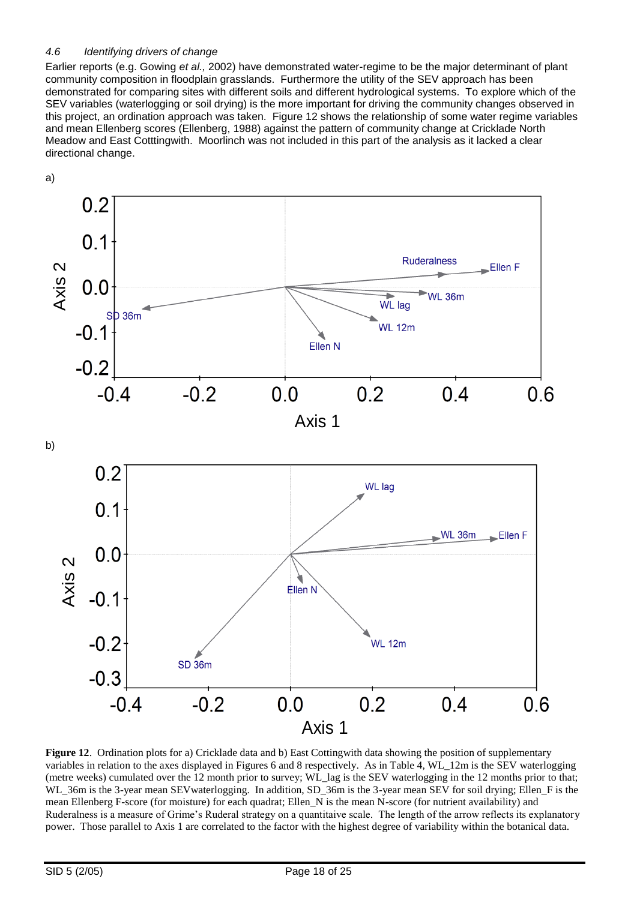# *4.6 Identifying drivers of change*

Earlier reports (e.g. Gowing *et al.,* 2002) have demonstrated water-regime to be the major determinant of plant community composition in floodplain grasslands. Furthermore the utility of the SEV approach has been demonstrated for comparing sites with different soils and different hydrological systems. To explore which of the SEV variables (waterlogging or soil drying) is the more important for driving the community changes observed in this project, an ordination approach was taken. Figure 12 shows the relationship of some water regime variables and mean Ellenberg scores (Ellenberg, 1988) against the pattern of community change at Cricklade North Meadow and East Cotttingwith. Moorlinch was not included in this part of the analysis as it lacked a clear directional change.



**Figure 12**. Ordination plots for a) Cricklade data and b) East Cottingwith data showing the position of supplementary variables in relation to the axes displayed in Figures 6 and 8 respectively. As in Table 4, WL\_12m is the SEV waterlogging (metre weeks) cumulated over the 12 month prior to survey; WL\_lag is the SEV waterlogging in the 12 months prior to that; WL\_36m is the 3-year mean SEV waterlogging. In addition, SD\_36m is the 3-year mean SEV for soil drying; Ellen\_F is the mean Ellenberg F-score (for moisture) for each quadrat; Ellen\_N is the mean N-score (for nutrient availability) and Ruderalness is a measure of Grime's Ruderal strategy on a quantitaive scale. The length of the arrow reflects its explanatory power. Those parallel to Axis 1 are correlated to the factor with the highest degree of variability within the botanical data.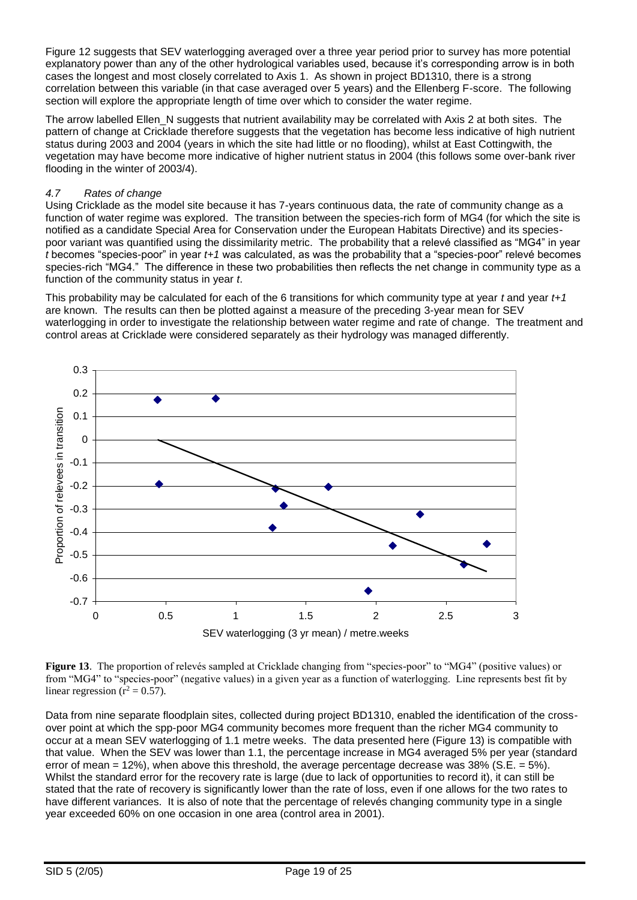Figure 12 suggests that SEV waterlogging averaged over a three year period prior to survey has more potential explanatory power than any of the other hydrological variables used, because it's corresponding arrow is in both cases the longest and most closely correlated to Axis 1. As shown in project BD1310, there is a strong correlation between this variable (in that case averaged over 5 years) and the Ellenberg F-score. The following section will explore the appropriate length of time over which to consider the water regime.

The arrow labelled Ellen N suggests that nutrient availability may be correlated with Axis 2 at both sites. The pattern of change at Cricklade therefore suggests that the vegetation has become less indicative of high nutrient status during 2003 and 2004 (years in which the site had little or no flooding), whilst at East Cottingwith, the vegetation may have become more indicative of higher nutrient status in 2004 (this follows some over-bank river flooding in the winter of 2003/4).

# *4.7 Rates of change*

Using Cricklade as the model site because it has 7-years continuous data, the rate of community change as a function of water regime was explored. The transition between the species-rich form of MG4 (for which the site is notified as a candidate Special Area for Conservation under the European Habitats Directive) and its speciespoor variant was quantified using the dissimilarity metric. The probability that a relevé classified as "MG4" in year *t* becomes "species-poor" in year *t+1* was calculated, as was the probability that a "species-poor" relevé becomes species-rich "MG4." The difference in these two probabilities then reflects the net change in community type as a function of the community status in year *t*.

This probability may be calculated for each of the 6 transitions for which community type at year *t* and year *t+1* are known. The results can then be plotted against a measure of the preceding 3-year mean for SEV waterlogging in order to investigate the relationship between water regime and rate of change. The treatment and control areas at Cricklade were considered separately as their hydrology was managed differently.



**Figure 13**. The proportion of relevés sampled at Cricklade changing from "species-poor" to "MG4" (positive values) or from "MG4" to "species-poor" (negative values) in a given year as a function of waterlogging. Line represents best fit by linear regression ( $r^2 = 0.57$ ).

Data from nine separate floodplain sites, collected during project BD1310, enabled the identification of the crossover point at which the spp-poor MG4 community becomes more frequent than the richer MG4 community to occur at a mean SEV waterlogging of 1.1 metre weeks. The data presented here (Figure 13) is compatible with that value. When the SEV was lower than 1.1, the percentage increase in MG4 averaged 5% per year (standard error of mean =  $12\%$ ), when above this threshold, the average percentage decrease was  $38\%$  (S.E. =  $5\%$ ). Whilst the standard error for the recovery rate is large (due to lack of opportunities to record it), it can still be stated that the rate of recovery is significantly lower than the rate of loss, even if one allows for the two rates to have different variances. It is also of note that the percentage of relevés changing community type in a single year exceeded 60% on one occasion in one area (control area in 2001).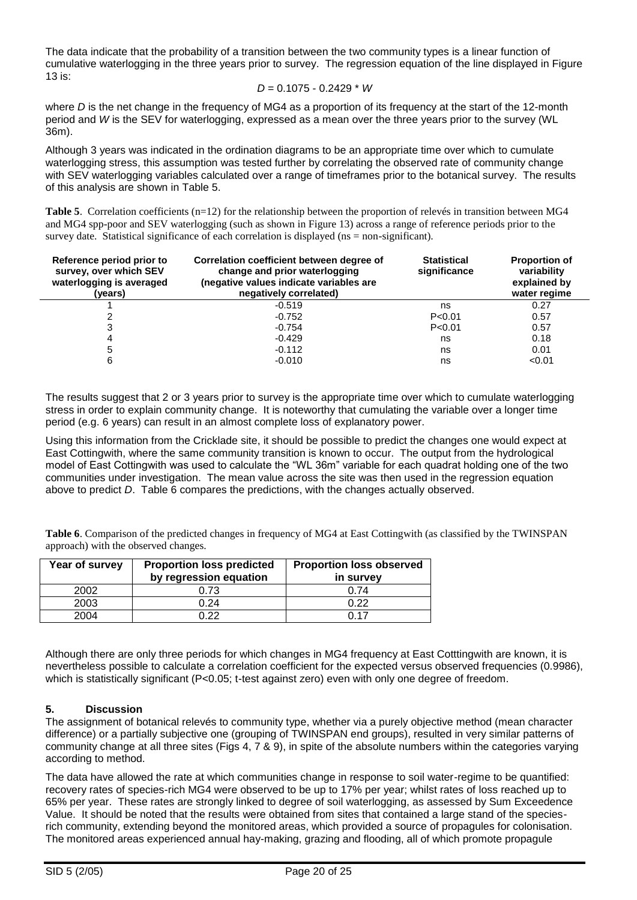The data indicate that the probability of a transition between the two community types is a linear function of cumulative waterlogging in the three years prior to survey. The regression equation of the line displayed in Figure 13 is:

$$
D = 0.1075 - 0.2429 * W
$$

where *D* is the net change in the frequency of MG4 as a proportion of its frequency at the start of the 12-month period and *W* is the SEV for waterlogging, expressed as a mean over the three years prior to the survey (WL 36m).

Although 3 years was indicated in the ordination diagrams to be an appropriate time over which to cumulate waterlogging stress, this assumption was tested further by correlating the observed rate of community change with SEV waterlogging variables calculated over a range of timeframes prior to the botanical survey. The results of this analysis are shown in Table 5.

**Table 5**. Correlation coefficients (n=12) for the relationship between the proportion of relevés in transition between MG4 and MG4 spp-poor and SEV waterlogging (such as shown in Figure 13) across a range of reference periods prior to the survey date. Statistical significance of each correlation is displayed (ns = non-significant).

| Reference period prior to<br>survey, over which SEV<br>waterlogging is averaged<br>(years) | Correlation coefficient between degree of<br>change and prior waterlogging<br>(negative values indicate variables are<br>negatively correlated) | <b>Statistical</b><br>significance | <b>Proportion of</b><br>variability<br>explained by<br>water regime |
|--------------------------------------------------------------------------------------------|-------------------------------------------------------------------------------------------------------------------------------------------------|------------------------------------|---------------------------------------------------------------------|
|                                                                                            | $-0.519$                                                                                                                                        | ns                                 | 0.27                                                                |
|                                                                                            | $-0.752$                                                                                                                                        | P < 0.01                           | 0.57                                                                |
| 3                                                                                          | $-0.754$                                                                                                                                        | P < 0.01                           | 0.57                                                                |
| 4                                                                                          | $-0.429$                                                                                                                                        | ns                                 | 0.18                                                                |
| 5                                                                                          | $-0.112$                                                                                                                                        | ns                                 | 0.01                                                                |
| 6                                                                                          | $-0.010$                                                                                                                                        | ns                                 | < 0.01                                                              |

The results suggest that 2 or 3 years prior to survey is the appropriate time over which to cumulate waterlogging stress in order to explain community change. It is noteworthy that cumulating the variable over a longer time period (e.g. 6 years) can result in an almost complete loss of explanatory power.

Using this information from the Cricklade site, it should be possible to predict the changes one would expect at East Cottingwith, where the same community transition is known to occur. The output from the hydrological model of East Cottingwith was used to calculate the "WL 36m" variable for each quadrat holding one of the two communities under investigation. The mean value across the site was then used in the regression equation above to predict *D*. Table 6 compares the predictions, with the changes actually observed.

**Table 6**. Comparison of the predicted changes in frequency of MG4 at East Cottingwith (as classified by the TWINSPAN approach) with the observed changes.

| Year of survey | <b>Proportion loss predicted</b><br>by regression equation | <b>Proportion loss observed</b><br>in survey |
|----------------|------------------------------------------------------------|----------------------------------------------|
| 2002           | 0.73                                                       | 0.74                                         |
| 2003           | 0.24                                                       | 0.22                                         |
| 2004           | በ 22                                                       | በ 17                                         |

Although there are only three periods for which changes in MG4 frequency at East Cotttingwith are known, it is nevertheless possible to calculate a correlation coefficient for the expected versus observed frequencies (0.9986), which is statistically significant (P<0.05; t-test against zero) even with only one degree of freedom.

# **5. Discussion**

The assignment of botanical relevés to community type, whether via a purely objective method (mean character difference) or a partially subjective one (grouping of TWINSPAN end groups), resulted in very similar patterns of community change at all three sites (Figs 4, 7 & 9), in spite of the absolute numbers within the categories varying according to method.

The data have allowed the rate at which communities change in response to soil water-regime to be quantified: recovery rates of species-rich MG4 were observed to be up to 17% per year; whilst rates of loss reached up to 65% per year. These rates are strongly linked to degree of soil waterlogging, as assessed by Sum Exceedence Value. It should be noted that the results were obtained from sites that contained a large stand of the speciesrich community, extending beyond the monitored areas, which provided a source of propagules for colonisation. The monitored areas experienced annual hay-making, grazing and flooding, all of which promote propagule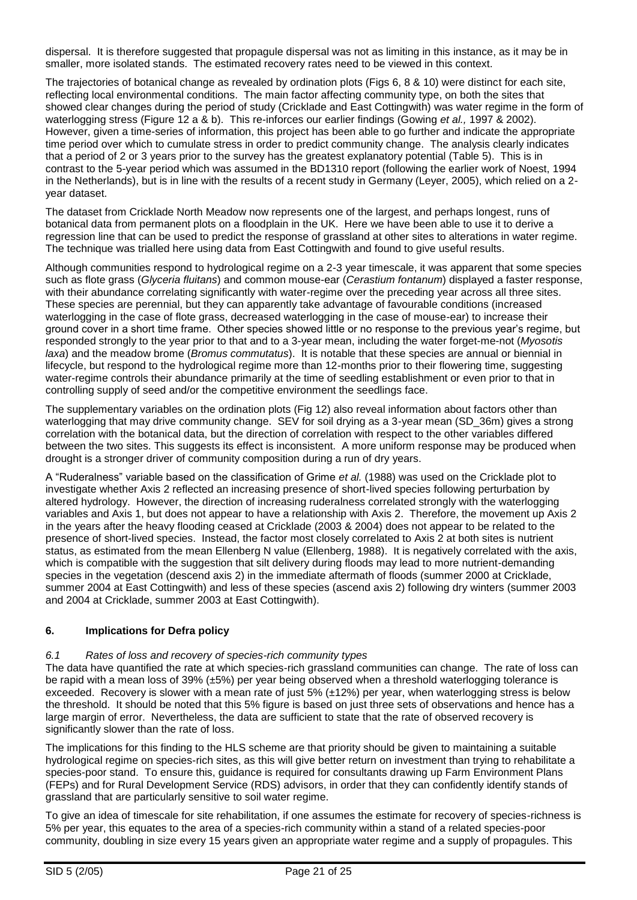dispersal. It is therefore suggested that propagule dispersal was not as limiting in this instance, as it may be in smaller, more isolated stands. The estimated recovery rates need to be viewed in this context.

The trajectories of botanical change as revealed by ordination plots (Figs 6, 8 & 10) were distinct for each site, reflecting local environmental conditions. The main factor affecting community type, on both the sites that showed clear changes during the period of study (Cricklade and East Cottingwith) was water regime in the form of waterlogging stress (Figure 12 a & b). This re-inforces our earlier findings (Gowing *et al.,* 1997 & 2002). However, given a time-series of information, this project has been able to go further and indicate the appropriate time period over which to cumulate stress in order to predict community change. The analysis clearly indicates that a period of 2 or 3 years prior to the survey has the greatest explanatory potential (Table 5). This is in contrast to the 5-year period which was assumed in the BD1310 report (following the earlier work of Noest, 1994 in the Netherlands), but is in line with the results of a recent study in Germany (Leyer, 2005), which relied on a 2 year dataset.

The dataset from Cricklade North Meadow now represents one of the largest, and perhaps longest, runs of botanical data from permanent plots on a floodplain in the UK. Here we have been able to use it to derive a regression line that can be used to predict the response of grassland at other sites to alterations in water regime. The technique was trialled here using data from East Cottingwith and found to give useful results.

Although communities respond to hydrological regime on a 2-3 year timescale, it was apparent that some species such as flote grass (*Glyceria fluitans*) and common mouse-ear (*Cerastium fontanum*) displayed a faster response, with their abundance correlating significantly with water-regime over the preceding year across all three sites. These species are perennial, but they can apparently take advantage of favourable conditions (increased waterlogging in the case of flote grass, decreased waterlogging in the case of mouse-ear) to increase their ground cover in a short time frame. Other species showed little or no response to the previous year's regime, but responded strongly to the year prior to that and to a 3-year mean, including the water forget-me-not (*Myosotis laxa*) and the meadow brome (*Bromus commutatus*). It is notable that these species are annual or biennial in lifecycle, but respond to the hydrological regime more than 12-months prior to their flowering time, suggesting water-regime controls their abundance primarily at the time of seedling establishment or even prior to that in controlling supply of seed and/or the competitive environment the seedlings face.

The supplementary variables on the ordination plots (Fig 12) also reveal information about factors other than waterlogging that may drive community change. SEV for soil drying as a 3-year mean (SD\_36m) gives a strong correlation with the botanical data, but the direction of correlation with respect to the other variables differed between the two sites. This suggests its effect is inconsistent. A more uniform response may be produced when drought is a stronger driver of community composition during a run of dry years.

A "Ruderalness" variable based on the classification of Grime *et al.* (1988) was used on the Cricklade plot to investigate whether Axis 2 reflected an increasing presence of short-lived species following perturbation by altered hydrology. However, the direction of increasing ruderalness correlated strongly with the waterlogging variables and Axis 1, but does not appear to have a relationship with Axis 2. Therefore, the movement up Axis 2 in the years after the heavy flooding ceased at Cricklade (2003 & 2004) does not appear to be related to the presence of short-lived species. Instead, the factor most closely correlated to Axis 2 at both sites is nutrient status, as estimated from the mean Ellenberg N value (Ellenberg, 1988). It is negatively correlated with the axis, which is compatible with the suggestion that silt delivery during floods may lead to more nutrient-demanding species in the vegetation (descend axis 2) in the immediate aftermath of floods (summer 2000 at Cricklade, summer 2004 at East Cottingwith) and less of these species (ascend axis 2) following dry winters (summer 2003 and 2004 at Cricklade, summer 2003 at East Cottingwith).

# **6. Implications for Defra policy**

# *6.1 Rates of loss and recovery of species-rich community types*

The data have quantified the rate at which species-rich grassland communities can change. The rate of loss can be rapid with a mean loss of 39% (±5%) per year being observed when a threshold waterlogging tolerance is exceeded. Recovery is slower with a mean rate of just 5% (±12%) per year, when waterlogging stress is below the threshold. It should be noted that this 5% figure is based on just three sets of observations and hence has a large margin of error. Nevertheless, the data are sufficient to state that the rate of observed recovery is significantly slower than the rate of loss.

The implications for this finding to the HLS scheme are that priority should be given to maintaining a suitable hydrological regime on species-rich sites, as this will give better return on investment than trying to rehabilitate a species-poor stand. To ensure this, guidance is required for consultants drawing up Farm Environment Plans (FEPs) and for Rural Development Service (RDS) advisors, in order that they can confidently identify stands of grassland that are particularly sensitive to soil water regime.

To give an idea of timescale for site rehabilitation, if one assumes the estimate for recovery of species-richness is 5% per year, this equates to the area of a species-rich community within a stand of a related species-poor community, doubling in size every 15 years given an appropriate water regime and a supply of propagules. This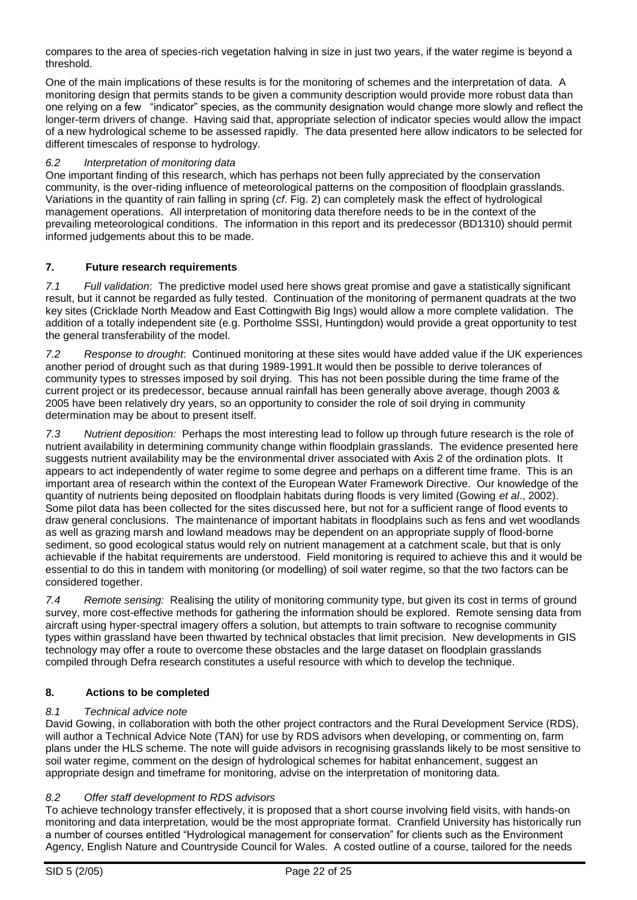compares to the area of species-rich vegetation halving in size in just two years, if the water regime is beyond a threshold.

One of the main implications of these results is for the monitoring of schemes and the interpretation of data. A monitoring design that permits stands to be given a community description would provide more robust data than one relying on a few "indicator" species, as the community designation would change more slowly and reflect the longer-term drivers of change. Having said that, appropriate selection of indicator species would allow the impact of a new hydrological scheme to be assessed rapidly. The data presented here allow indicators to be selected for different timescales of response to hydrology.

# *6.2 Interpretation of monitoring data*

One important finding of this research, which has perhaps not been fully appreciated by the conservation community, is the over-riding influence of meteorological patterns on the composition of floodplain grasslands. Variations in the quantity of rain falling in spring (*cf*. Fig. 2) can completely mask the effect of hydrological management operations. All interpretation of monitoring data therefore needs to be in the context of the prevailing meteorological conditions. The information in this report and its predecessor (BD1310) should permit informed judgements about this to be made.

# **7. Future research requirements**

*7.1 Full validation*: The predictive model used here shows great promise and gave a statistically significant result, but it cannot be regarded as fully tested. Continuation of the monitoring of permanent quadrats at the two key sites (Cricklade North Meadow and East Cottingwith Big Ings) would allow a more complete validation. The addition of a totally independent site (e.g. Portholme SSSI, Huntingdon) would provide a great opportunity to test the general transferability of the model.

*7.2 Response to drought*: Continued monitoring at these sites would have added value if the UK experiences another period of drought such as that during 1989-1991.It would then be possible to derive tolerances of community types to stresses imposed by soil drying. This has not been possible during the time frame of the current project or its predecessor, because annual rainfall has been generally above average, though 2003 & 2005 have been relatively dry years, so an opportunity to consider the role of soil drying in community determination may be about to present itself.

*7.3 Nutrient deposition:* Perhaps the most interesting lead to follow up through future research is the role of nutrient availability in determining community change within floodplain grasslands. The evidence presented here suggests nutrient availability may be the environmental driver associated with Axis 2 of the ordination plots. It appears to act independently of water regime to some degree and perhaps on a different time frame. This is an important area of research within the context of the European Water Framework Directive. Our knowledge of the quantity of nutrients being deposited on floodplain habitats during floods is very limited (Gowing *et al*., 2002). Some pilot data has been collected for the sites discussed here, but not for a sufficient range of flood events to draw general conclusions. The maintenance of important habitats in floodplains such as fens and wet woodlands as well as grazing marsh and lowland meadows may be dependent on an appropriate supply of flood-borne sediment, so good ecological status would rely on nutrient management at a catchment scale, but that is only achievable if the habitat requirements are understood. Field monitoring is required to achieve this and it would be essential to do this in tandem with monitoring (or modelling) of soil water regime, so that the two factors can be considered together.

*7.4 Remote sensing:* Realising the utility of monitoring community type, but given its cost in terms of ground survey, more cost-effective methods for gathering the information should be explored. Remote sensing data from aircraft using hyper-spectral imagery offers a solution, but attempts to train software to recognise community types within grassland have been thwarted by technical obstacles that limit precision. New developments in GIS technology may offer a route to overcome these obstacles and the large dataset on floodplain grasslands compiled through Defra research constitutes a useful resource with which to develop the technique.

# **8. Actions to be completed**

# *8.1 Technical advice note*

David Gowing, in collaboration with both the other project contractors and the Rural Development Service (RDS), will author a Technical Advice Note (TAN) for use by RDS advisors when developing, or commenting on, farm plans under the HLS scheme. The note will guide advisors in recognising grasslands likely to be most sensitive to soil water regime, comment on the design of hydrological schemes for habitat enhancement, suggest an appropriate design and timeframe for monitoring, advise on the interpretation of monitoring data.

# *8.2 Offer staff development to RDS advisors*

To achieve technology transfer effectively, it is proposed that a short course involving field visits, with hands-on monitoring and data interpretation, would be the most appropriate format. Cranfield University has historically run a number of courses entitled "Hydrological management for conservation" for clients such as the Environment Agency, English Nature and Countryside Council for Wales. A costed outline of a course, tailored for the needs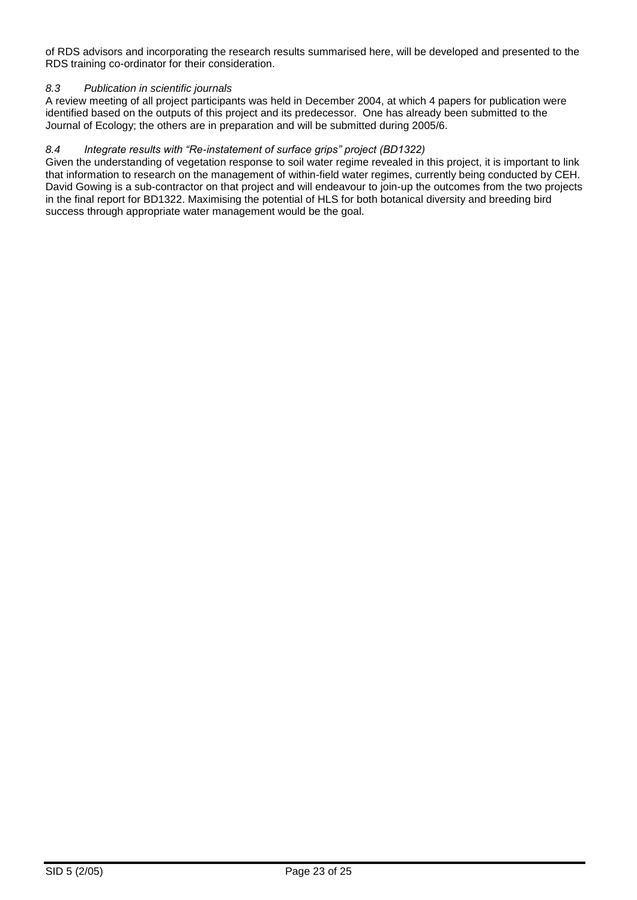of RDS advisors and incorporating the research results summarised here, will be developed and presented to the RDS training co-ordinator for their consideration.

# *8.3 Publication in scientific journals*

A review meeting of all project participants was held in December 2004, at which 4 papers for publication were identified based on the outputs of this project and its predecessor. One has already been submitted to the Journal of Ecology; the others are in preparation and will be submitted during 2005/6.

# *8.4 Integrate results with "Re-instatement of surface grips" project (BD1322)*

Given the understanding of vegetation response to soil water regime revealed in this project, it is important to link that information to research on the management of within-field water regimes, currently being conducted by CEH. David Gowing is a sub-contractor on that project and will endeavour to join-up the outcomes from the two projects in the final report for BD1322. Maximising the potential of HLS for both botanical diversity and breeding bird success through appropriate water management would be the goal.